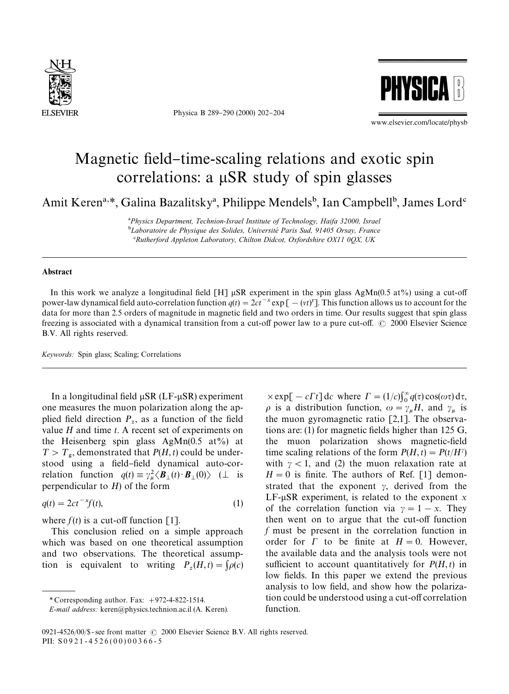

Physica B 289-290 (2000) 202-204



www.elsevier.com/locate/physb

## Magnetic field-time-scaling relations and exotic spin correlations: a  $\mu$ SR study of spin glasses

Amit Keren<sup>a,\*</sup>, Galina Bazalitsky<sup>a</sup>, Philippe Mendels<sup>b</sup>, Ian Campbell<sup>b</sup>, James Lord<sup>c</sup>

!*Physics Department, Technion-Israel Institute of Technology, Haifa 32000, Israel* <sup>b</sup>Laboratoire de Physique des Solides, Université Paris Sud, 91405 Orsay, France #*Rutherford Appleton Laboratory, Chilton Didcot, Oxfordshire OX11 0QX, UK*

## Abstract

In this work we analyze a longitudinal field [H]  $\mu$ SR experiment in the spin glass AgMn(0.5 at%) using a cut-off power-law dynamical field auto-correlation function  $q(t) = 2ct^{-x} \exp[-(vt)^{y}]$ . This function allows us to account for the data for more than 2.5 orders of magnitude in magnetic field and two orders in time. Our results suggest that spin glass freezing is associated with a dynamical transition from a cut-off power law to a pure cut-off.  $\odot$  2000 Elsevier Science B.V. All rights reserved.

*Keywords:* Spin glass; Scaling; Correlations

In a longitudinal field  $\mu$ SR (LF- $\mu$ SR) experiment one measures the muon polarization along the applied field direction  $P_z$ , as a function of the field value *H* and time *t*. A recent set of experiments on the Heisenberg spin glass AgMn(0.5 at%) at  $T > T_{\rm g}$ , demonstrated that  $P(H, t)$  could be understood using a field-field dynamical auto-correlation function  $q(t) \equiv \gamma_{\mu}^2 \langle \mathbf{B}_{\perp}(t) \cdot \mathbf{B}_{\perp}(0) \rangle$  ( $\perp$  is perpendicular to *H*) of the form

$$
q(t) = 2ct^{-x}f(t),\tag{1}
$$

where  $f(t)$  is a cut-off function [1].

This conclusion relied on a simple approach which was based on one theoretical assumption and two observations. The theoretical assumption is equivalent to writing  $P_z(H,t) = \int \rho(c)$ 

 $\times$ exp[ - *c* $\Gamma t$ ] d*c* where  $\Gamma = (1/c)\int_0^\infty q(\tau) \cos(\omega \tau) d\tau$ ,  $\rho$  is a distribution function,  $\omega = \gamma_{\mu} H$ , and  $\gamma_{\mu}$  is  $p^2$  is a distribution function,  $\omega = \gamma_\mu$  and  $\gamma_\mu$  is<br>the muon gyromagnetic ratio [2,1]. The observations are: (1) for magnetic fields higher than  $125$  G, the muon polarization shows magnetic-field time scaling relations of the form  $P(H,t) = P(t/H^{\gamma})$ with  $\gamma$  < 1, and (2) the muon relaxation rate at  $H = 0$  is finite. The authors of Ref. [1] demonstrated that the exponent  $\gamma$ , derived from the LF- $\mu$ SR experiment, is related to the exponent *x* of the correlation function via  $\gamma = 1 - x$ . They then went on to argue that the cut-off function *f* must be present in the correlation function in order for  $\Gamma$  to be finite at  $H = 0$ . However, the available data and the analysis tools were not sufficient to account quantitatively for  $P(H, t)$  in low fields. In this paper we extend the previous analysis to low field, and show how the polarization could be understood using a cut-off correlation function.

*<sup>\*</sup>* Corresponding author. Fax: #972-4-822-1514.

*E-mail address:* keren@physics.technion.ac.il (A. Keren).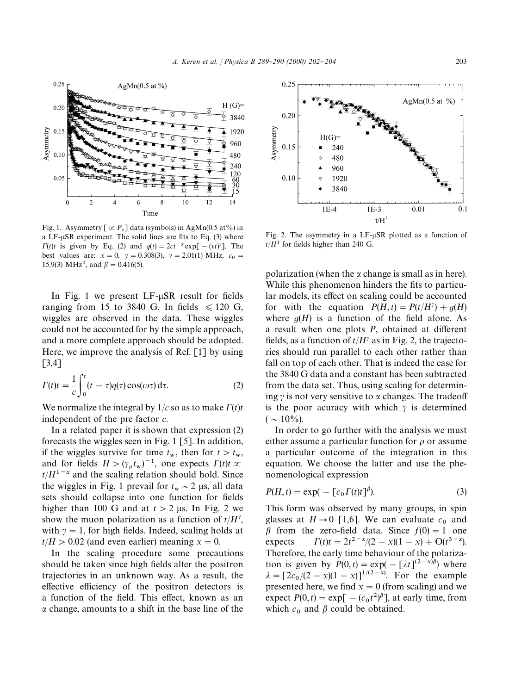

Fig. 1. Asymmetry  $[\infty P_z]$  data (symbols) in AgMn(0.5 at%) in a  $LF$ - $\mu$ SR experiment. The solid lines are fits to Eq. (3) where  $\Gamma(t)t$  is given by Eq. (2) and  $q(t) = 2ct^{-x} \exp[-(vt)^{y}]$ . The best values are:  $x = 0$ ,  $y = 0.308(3)$ ,  $v = 2.01(1)$  MHz,  $c_0 = 0.202(3)$ 15.9(3) MHz<sup>2</sup>, and  $\beta = 0.416(5)$ .

In Fig. 1 we present  $LF$ - $\mu$ SR result for fields ranging from 15 to 3840 G. In fields  $\leq 120$  G, wiggles are observed in the data. These wiggles could not be accounted for by the simple approach, and a more complete approach should be adopted. Here, we improve the analysis of Ref. [1] by using [3,4]

$$
\Gamma(t)t = \frac{1}{c} \int_0^t (t - \tau) q(\tau) \cos(\omega \tau) d\tau.
$$
 (2)

We normalize the integral by  $1/c$  so as to make  $\Gamma(t)t$ independent of the pre factor *c*.

In a related paper it is shown that expression (2) forecasts the wiggles seen in Fig. 1 [5]. In addition, if the wiggles survive for time  $t_w$ , then for  $t > t_w$ , and for fields  $H > (\gamma_{\mu} t_{\rm w})^{-1}$ , one expects  $\Gamma(t)t \propto$  $t/H^{1-x}$  and the scaling relation should hold. Since the wiggles in Fig. 1 prevail for  $t_w \sim 2$  µs, all data sets should collapse into one function for fields higher than 100 G and at  $t > 2$  µs. In Fig. 2 we show the muon polarization as a function of  $t/H^{\gamma}$ , with  $\gamma = 1$ , for high fields. Indeed, scaling holds at  $t/H > 0.02$  (and even earlier) meaning  $x = 0$ .

In the scaling procedure some precautions should be taken since high fields alter the positron trajectories in an unknown way. As a result, the effective efficiency of the positron detectors is a function of the field. This effect, known as an a change, amounts to a shift in the base line of the



Fig. 2. The asymmetry in a  $LF$ - $\mu$ SR plotted as a function of  $t/H<sup>1</sup>$  for fields higher than 240 G.

polarization (when the  $\alpha$  change is small as in here). While this phenomenon hinders the fits to particular models, its effect on scaling could be accounted for with the equation  $P(H,t) = P(t/H^{\gamma}) + q(H)$ where  $q(H)$  is a function of the field alone. As a result when one plots *P*, obtained at different fields, as a function of  $t/H^{\gamma}$  as in Fig. 2, the trajectories should run parallel to each other rather than fall on top of each other. That is indeed the case for the 3840 G data and a constant has been subtracted from the data set. Thus, using scaling for determining  $\gamma$  is not very sensitive to  $\alpha$  changes. The tradeoff is the poor acuracy with which  $\gamma$  is determined  $(\sim 10\%)$ .

In order to go further with the analysis we must either assume a particular function for  $\rho$  or assume a particular outcome of the integration in this equation. We choose the latter and use the phenomenological expression

$$
P(H,t) = \exp(-\left[c_0 \Gamma(t)t\right]^{\beta}).
$$
\n(3)

This form was observed by many groups, in spin glasses at  $H \rightarrow 0$  [1,6]. We can evaluate  $c_0$  and  $\beta$  from the zero-field data. Since  $f(0) = 1$  one expects  $\Gamma(t)t = 2t^{2-x}/(2-x)(1-x) + \mathcal{O}(t^{3-x}).$ Therefore, the early time behaviour of the polarization is given by  $P(0,t) = \exp(-\left[\lambda t\right]^{(2-x)\beta})$  where  $\lambda = [2c_0/(2-x)(1-x)]^{1/(2-x)}$ . For the example presented here, we find  $x = 0$  (from scaling) and we expect  $P(0, t) = \exp[-(c_0 t^2)^\beta]$ , at early time, from which  $c_0$  and  $\beta$  could be obtained.